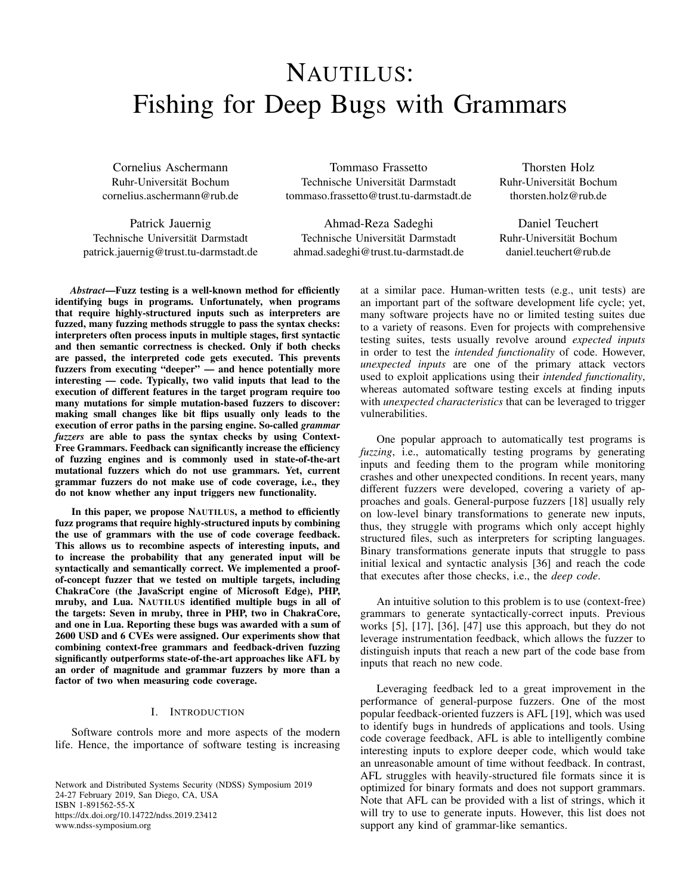# NAUTILUS: Fishing for Deep Bugs with Grammars

Cornelius Aschermann Ruhr-Universität Bochum cornelius.aschermann@rub.de

Patrick Jauernig Technische Universität Darmstadt patrick.jauernig@trust.tu-darmstadt.de

Tommaso Frassetto Technische Universität Darmstadt tommaso.frassetto@trust.tu-darmstadt.de

Ahmad-Reza Sadeghi Technische Universität Darmstadt ahmad.sadeghi@trust.tu-darmstadt.de

Thorsten Holz Ruhr-Universität Bochum thorsten.holz@rub.de

Daniel Teuchert Ruhr-Universität Bochum daniel.teuchert@rub.de

*Abstract*—Fuzz testing is a well-known method for efficiently identifying bugs in programs. Unfortunately, when programs that require highly-structured inputs such as interpreters are fuzzed, many fuzzing methods struggle to pass the syntax checks: interpreters often process inputs in multiple stages, first syntactic and then semantic correctness is checked. Only if both checks are passed, the interpreted code gets executed. This prevents fuzzers from executing "deeper" — and hence potentially more interesting — code. Typically, two valid inputs that lead to the execution of different features in the target program require too many mutations for simple mutation-based fuzzers to discover: making small changes like bit flips usually only leads to the execution of error paths in the parsing engine. So-called *grammar fuzzers* are able to pass the syntax checks by using Context-Free Grammars. Feedback can significantly increase the efficiency of fuzzing engines and is commonly used in state-of-the-art mutational fuzzers which do not use grammars. Yet, current grammar fuzzers do not make use of code coverage, i.e., they do not know whether any input triggers new functionality.

In this paper, we propose NAUTILUS, a method to efficiently fuzz programs that require highly-structured inputs by combining the use of grammars with the use of code coverage feedback. This allows us to recombine aspects of interesting inputs, and to increase the probability that any generated input will be syntactically and semantically correct. We implemented a proofof-concept fuzzer that we tested on multiple targets, including ChakraCore (the JavaScript engine of Microsoft Edge), PHP, mruby, and Lua. NAUTILUS identified multiple bugs in all of the targets: Seven in mruby, three in PHP, two in ChakraCore, and one in Lua. Reporting these bugs was awarded with a sum of 2600 USD and 6 CVEs were assigned. Our experiments show that combining context-free grammars and feedback-driven fuzzing significantly outperforms state-of-the-art approaches like AFL by an order of magnitude and grammar fuzzers by more than a factor of two when measuring code coverage.

#### I. INTRODUCTION

Software controls more and more aspects of the modern life. Hence, the importance of software testing is increasing

Network and Distributed Systems Security (NDSS) Symposium 2019 24-27 February 2019, San Diego, CA, USA ISBN 1-891562-55-X https://dx.doi.org/10.14722/ndss.2019.23412 www.ndss-symposium.org

at a similar pace. Human-written tests (e.g., unit tests) are an important part of the software development life cycle; yet, many software projects have no or limited testing suites due to a variety of reasons. Even for projects with comprehensive testing suites, tests usually revolve around *expected inputs* in order to test the *intended functionality* of code. However, *unexpected inputs* are one of the primary attack vectors used to exploit applications using their *intended functionality*, whereas automated software testing excels at finding inputs with *unexpected characteristics* that can be leveraged to trigger vulnerabilities.

One popular approach to automatically test programs is *fuzzing*, i.e., automatically testing programs by generating inputs and feeding them to the program while monitoring crashes and other unexpected conditions. In recent years, many different fuzzers were developed, covering a variety of approaches and goals. General-purpose fuzzers [\[18\]](#page-13-0) usually rely on low-level binary transformations to generate new inputs, thus, they struggle with programs which only accept highly structured files, such as interpreters for scripting languages. Binary transformations generate inputs that struggle to pass initial lexical and syntactic analysis [\[36\]](#page-14-0) and reach the code that executes after those checks, i.e., the *deep code*.

An intuitive solution to this problem is to use (context-free) grammars to generate syntactically-correct inputs. Previous works [\[5\]](#page-13-1), [\[17\]](#page-13-2), [\[36\]](#page-14-0), [\[47\]](#page-14-1) use this approach, but they do not leverage instrumentation feedback, which allows the fuzzer to distinguish inputs that reach a new part of the code base from inputs that reach no new code.

Leveraging feedback led to a great improvement in the performance of general-purpose fuzzers. One of the most popular feedback-oriented fuzzers is AFL [\[19\]](#page-13-3), which was used to identify bugs in hundreds of applications and tools. Using code coverage feedback, AFL is able to intelligently combine interesting inputs to explore deeper code, which would take an unreasonable amount of time without feedback. In contrast, AFL struggles with heavily-structured file formats since it is optimized for binary formats and does not support grammars. Note that AFL can be provided with a list of strings, which it will try to use to generate inputs. However, this list does not support any kind of grammar-like semantics.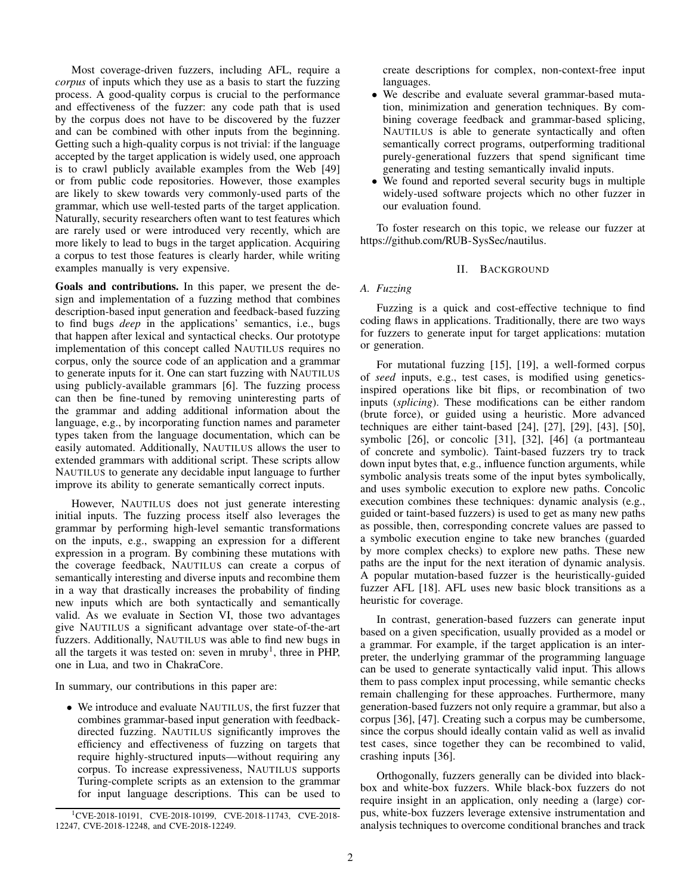Most coverage-driven fuzzers, including AFL, require a *corpus* of inputs which they use as a basis to start the fuzzing process. A good-quality corpus is crucial to the performance and effectiveness of the fuzzer: any code path that is used by the corpus does not have to be discovered by the fuzzer and can be combined with other inputs from the beginning. Getting such a high-quality corpus is not trivial: if the language accepted by the target application is widely used, one approach is to crawl publicly available examples from the Web [\[49\]](#page-14-2) or from public code repositories. However, those examples are likely to skew towards very commonly-used parts of the grammar, which use well-tested parts of the target application. Naturally, security researchers often want to test features which are rarely used or were introduced very recently, which are more likely to lead to bugs in the target application. Acquiring a corpus to test those features is clearly harder, while writing examples manually is very expensive.

Goals and contributions. In this paper, we present the design and implementation of a fuzzing method that combines description-based input generation and feedback-based fuzzing to find bugs *deep* in the applications' semantics, i.e., bugs that happen after lexical and syntactical checks. Our prototype implementation of this concept called NAUTILUS requires no corpus, only the source code of an application and a grammar to generate inputs for it. One can start fuzzing with NAUTILUS using publicly-available grammars [\[6\]](#page-13-4). The fuzzing process can then be fine-tuned by removing uninteresting parts of the grammar and adding additional information about the language, e.g., by incorporating function names and parameter types taken from the language documentation, which can be easily automated. Additionally, NAUTILUS allows the user to extended grammars with additional script. These scripts allow NAUTILUS to generate any decidable input language to further improve its ability to generate semantically correct inputs.

However, NAUTILUS does not just generate interesting initial inputs. The fuzzing process itself also leverages the grammar by performing high-level semantic transformations on the inputs, e.g., swapping an expression for a different expression in a program. By combining these mutations with the coverage feedback, NAUTILUS can create a corpus of semantically interesting and diverse inputs and recombine them in a way that drastically increases the probability of finding new inputs which are both syntactically and semantically valid. As we evaluate in Section [VI,](#page-6-0) those two advantages give NAUTILUS a significant advantage over state-of-the-art fuzzers. Additionally, NAUTILUS was able to find new bugs in all the targets it was tested on: seven in mruby<sup>[1](#page-1-0)</sup>, three in PHP, one in Lua, and two in ChakraCore.

In summary, our contributions in this paper are:

• We introduce and evaluate NAUTILUS, the first fuzzer that combines grammar-based input generation with feedbackdirected fuzzing. NAUTILUS significantly improves the efficiency and effectiveness of fuzzing on targets that require highly-structured inputs—without requiring any corpus. To increase expressiveness, NAUTILUS supports Turing-complete scripts as an extension to the grammar for input language descriptions. This can be used to create descriptions for complex, non-context-free input languages.

- We describe and evaluate several grammar-based mutation, minimization and generation techniques. By combining coverage feedback and grammar-based splicing, NAUTILUS is able to generate syntactically and often semantically correct programs, outperforming traditional purely-generational fuzzers that spend significant time generating and testing semantically invalid inputs.
- We found and reported several security bugs in multiple widely-used software projects which no other fuzzer in our evaluation found.

To foster research on this topic, we release our fuzzer at [https://github.com/RUB-SysSec/nautilus.](https://github.com/RUB-SysSec/nautilus)

## II. BACKGROUND

## *A. Fuzzing*

Fuzzing is a quick and cost-effective technique to find coding flaws in applications. Traditionally, there are two ways for fuzzers to generate input for target applications: mutation or generation.

For mutational fuzzing [\[15\]](#page-13-5), [\[19\]](#page-13-3), a well-formed corpus of *seed* inputs, e.g., test cases, is modified using geneticsinspired operations like bit flips, or recombination of two inputs (*splicing*). These modifications can be either random (brute force), or guided using a heuristic. More advanced techniques are either taint-based [\[24\]](#page-14-3), [\[27\]](#page-14-4), [\[29\]](#page-14-5), [\[43\]](#page-14-6), [\[50\]](#page-14-7), symbolic [\[26\]](#page-14-8), or concolic [\[31\]](#page-14-9), [\[32\]](#page-14-10), [\[46\]](#page-14-11) (a portmanteau of concrete and symbolic). Taint-based fuzzers try to track down input bytes that, e.g., influence function arguments, while symbolic analysis treats some of the input bytes symbolically, and uses symbolic execution to explore new paths. Concolic execution combines these techniques: dynamic analysis (e.g., guided or taint-based fuzzers) is used to get as many new paths as possible, then, corresponding concrete values are passed to a symbolic execution engine to take new branches (guarded by more complex checks) to explore new paths. These new paths are the input for the next iteration of dynamic analysis. A popular mutation-based fuzzer is the heuristically-guided fuzzer AFL [\[18\]](#page-13-0). AFL uses new basic block transitions as a heuristic for coverage.

In contrast, generation-based fuzzers can generate input based on a given specification, usually provided as a model or a grammar. For example, if the target application is an interpreter, the underlying grammar of the programming language can be used to generate syntactically valid input. This allows them to pass complex input processing, while semantic checks remain challenging for these approaches. Furthermore, many generation-based fuzzers not only require a grammar, but also a corpus [\[36\]](#page-14-0), [\[47\]](#page-14-1). Creating such a corpus may be cumbersome, since the corpus should ideally contain valid as well as invalid test cases, since together they can be recombined to valid, crashing inputs [\[36\]](#page-14-0).

Orthogonally, fuzzers generally can be divided into blackbox and white-box fuzzers. While black-box fuzzers do not require insight in an application, only needing a (large) corpus, white-box fuzzers leverage extensive instrumentation and analysis techniques to overcome conditional branches and track

<span id="page-1-0"></span><sup>&</sup>lt;sup>1</sup>CVE-2018-10191, CVE-2018-10199, CVE-2018-11743, CVE-2018-12247, CVE-2018-12248, and CVE-2018-12249.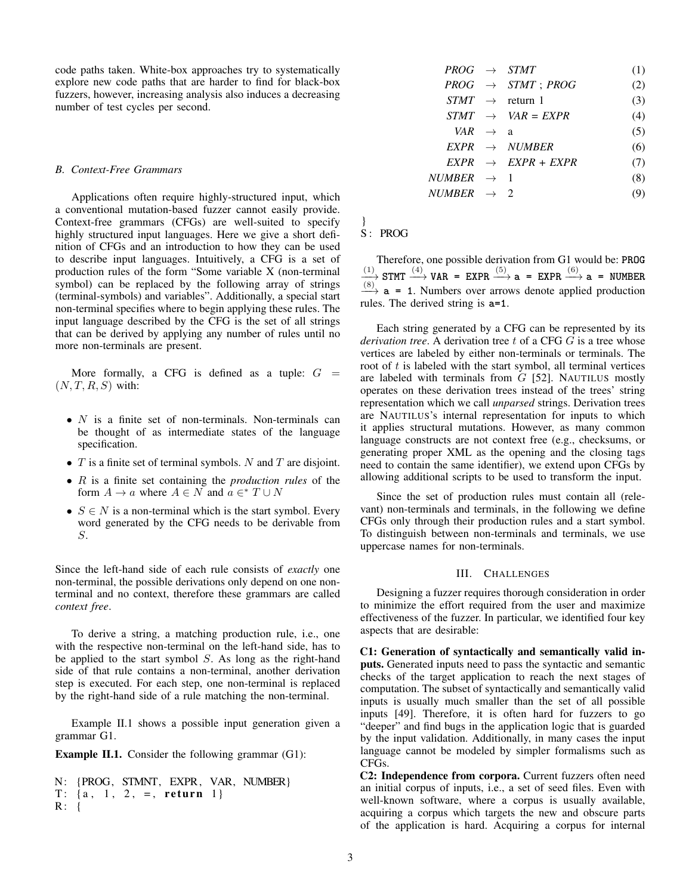code paths taken. White-box approaches try to systematically explore new code paths that are harder to find for black-box fuzzers, however, increasing analysis also induces a decreasing number of test cycles per second.

## *B. Context-Free Grammars*

Applications often require highly-structured input, which a conventional mutation-based fuzzer cannot easily provide. Context-free grammars (CFGs) are well-suited to specify highly structured input languages. Here we give a short definition of CFGs and an introduction to how they can be used to describe input languages. Intuitively, a CFG is a set of production rules of the form "Some variable X (non-terminal symbol) can be replaced by the following array of strings (terminal-symbols) and variables". Additionally, a special start non-terminal specifies where to begin applying these rules. The input language described by the CFG is the set of all strings that can be derived by applying any number of rules until no more non-terminals are present.

More formally, a CFG is defined as a tuple:  $G =$  $(N, T, R, S)$  with:

- $N$  is a finite set of non-terminals. Non-terminals can be thought of as intermediate states of the language specification.
- $T$  is a finite set of terminal symbols. N and  $T$  are disjoint.
- R is a finite set containing the *production rules* of the form  $A \to a$  where  $A \in N$  and  $a \in^* T \cup N$
- $S \in N$  is a non-terminal which is the start symbol. Every word generated by the CFG needs to be derivable from S.

Since the left-hand side of each rule consists of *exactly* one non-terminal, the possible derivations only depend on one nonterminal and no context, therefore these grammars are called *context free*.

To derive a string, a matching production rule, i.e., one with the respective non-terminal on the left-hand side, has to be applied to the start symbol  $S$ . As long as the right-hand side of that rule contains a non-terminal, another derivation step is executed. For each step, one non-terminal is replaced by the right-hand side of a rule matching the non-terminal.

Example [II.1](#page-2-0) shows a possible input generation given a grammar G1.

<span id="page-2-0"></span>Example II.1. Consider the following grammar (G1):

```
N: {PROG, STMNT, EXPR, VAR, NUMBER}
T: \{a, 1, 2, =, return 1}
R: {
```

| $PROG \rightarrow STMT$  |                                | (1) |
|--------------------------|--------------------------------|-----|
|                          | $PROG \rightarrow STMT$ ; PROG | (2) |
|                          | $STMT \rightarrow$ return 1    | (3) |
|                          | $STMT \rightarrow VAR = EXPR$  | (4) |
| VAR $\rightarrow$ a      |                                | (5) |
|                          | $EXPR \rightarrow NUMBER$      | (6) |
|                          | $EXPR \rightarrow EXPR + EXPR$ | (7) |
| NUMBER $\;\rightarrow$ 1 |                                | (8) |
| NUMBER $\rightarrow$ 2   |                                |     |

}

# S : PROG

Therefore, one possible derivation from G1 would be: **PROG**  $\frac{(1)}{(2)}$  **STMT**  $\stackrel{(4)}{\longrightarrow}$  **VAR** = **EXPR**  $\stackrel{(5)}{\longrightarrow}$  **a** = **EXPR**  $\stackrel{(6)}{\longrightarrow}$  **a** = **NUMBER**  $\xrightarrow{(8)}$  **a** = 1. Numbers over arrows denote applied production rules. The derived string is **a=1**.

Each string generated by a CFG can be represented by its *derivation tree.* A derivation tree t of a CFG G is a tree whose vertices are labeled by either non-terminals or terminals. The root of  $t$  is labeled with the start symbol, all terminal vertices are labeled with terminals from  $G$  [\[52\]](#page-14-12). NAUTILUS mostly operates on these derivation trees instead of the trees' string representation which we call *unparsed* strings. Derivation trees are NAUTILUS's internal representation for inputs to which it applies structural mutations. However, as many common language constructs are not context free (e.g., checksums, or generating proper XML as the opening and the closing tags need to contain the same identifier), we extend upon CFGs by allowing additional scripts to be used to transform the input.

Since the set of production rules must contain all (relevant) non-terminals and terminals, in the following we define CFGs only through their production rules and a start symbol. To distinguish between non-terminals and terminals, we use uppercase names for non-terminals.

## III. CHALLENGES

Designing a fuzzer requires thorough consideration in order to minimize the effort required from the user and maximize effectiveness of the fuzzer. In particular, we identified four key aspects that are desirable:

<span id="page-2-1"></span>C1: Generation of syntactically and semantically valid inputs. Generated inputs need to pass the syntactic and semantic checks of the target application to reach the next stages of computation. The subset of syntactically and semantically valid inputs is usually much smaller than the set of all possible inputs [\[49\]](#page-14-2). Therefore, it is often hard for fuzzers to go "deeper" and find bugs in the application logic that is guarded by the input validation. Additionally, in many cases the input language cannot be modeled by simpler formalisms such as CFGs.

<span id="page-2-2"></span>C2: Independence from corpora. Current fuzzers often need an initial corpus of inputs, i.e., a set of seed files. Even with well-known software, where a corpus is usually available, acquiring a corpus which targets the new and obscure parts of the application is hard. Acquiring a corpus for internal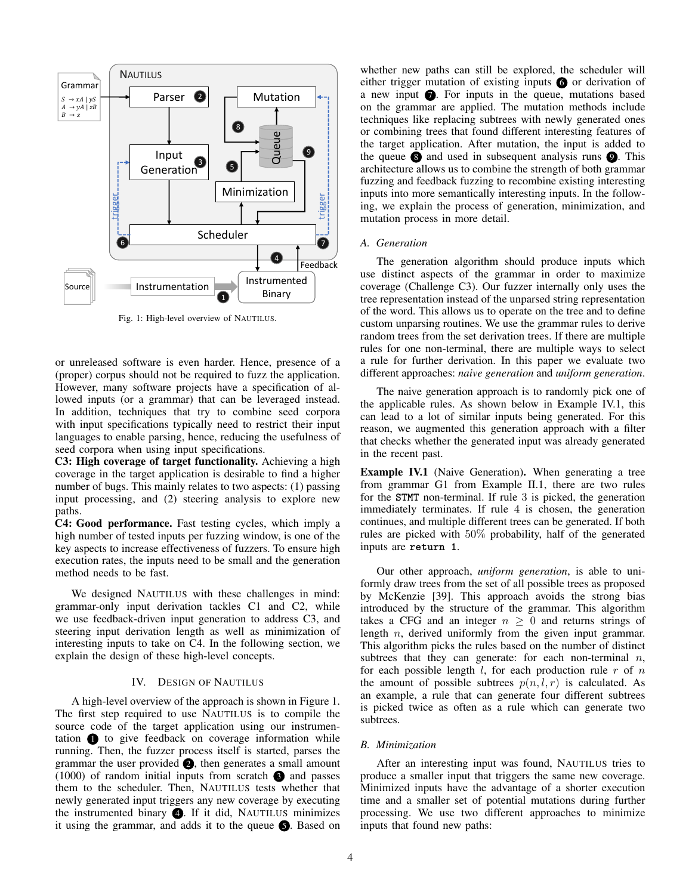<span id="page-3-2"></span>

Fig. 1: High-level overview of NAUTILUS.

or unreleased software is even harder. Hence, presence of a (proper) corpus should not be required to fuzz the application. However, many software projects have a specification of allowed inputs (or a grammar) that can be leveraged instead. In addition, techniques that try to combine seed corpora with input specifications typically need to restrict their input languages to enable parsing, hence, reducing the usefulness of seed corpora when using input specifications.

<span id="page-3-0"></span>C3: High coverage of target functionality. Achieving a high coverage in the target application is desirable to find a higher number of bugs. This mainly relates to two aspects: (1) passing input processing, and (2) steering analysis to explore new paths.

<span id="page-3-1"></span>C4: Good performance. Fast testing cycles, which imply a high number of tested inputs per fuzzing window, is one of the key aspects to increase effectiveness of fuzzers. To ensure high execution rates, the inputs need to be small and the generation method needs to be fast.

We designed NAUTILUS with these challenges in mind: grammar-only input derivation tackles [C1](#page-2-1) and [C2,](#page-2-2) while we use feedback-driven input generation to address [C3,](#page-3-0) and steering input derivation length as well as minimization of interesting inputs to take on [C4.](#page-3-1) In the following section, we explain the design of these high-level concepts.

## IV. DESIGN OF NAUTILUS

A high-level overview of the approach is shown in Figure [1.](#page-3-2) The first step required to use NAUTILUS is to compile the source code of the target application using our instrumentation  $\bigcirc$  to give feedback on coverage information while running. Then, the fuzzer process itself is started, parses the grammar the user provided  $\bigcirc$ , then generates a small amount  $(1000)$  of random initial inputs from scratch  $\bullet$  and passes them to the scheduler. Then, NAUTILUS tests whether that newly generated input triggers any new coverage by executing the instrumented binary  $\bigcirc$ . If it did, NAUTILUS minimizes it using the grammar, and adds it to the queue  $\bigcirc$ . Based on whether new paths can still be explored, the scheduler will either trigger mutation of existing inputs  $\bullet$  or derivation of a new input  $\bullet$ . For inputs in the queue, mutations based on the grammar are applied. The mutation methods include techniques like replacing subtrees with newly generated ones or combining trees that found different interesting features of the target application. After mutation, the input is added to the queue  $\otimes$  and used in subsequent analysis runs  $\otimes$ . This architecture allows us to combine the strength of both grammar fuzzing and feedback fuzzing to recombine existing interesting inputs into more semantically interesting inputs. In the following, we explain the process of generation, minimization, and mutation process in more detail.

## <span id="page-3-4"></span>*A. Generation*

The generation algorithm should produce inputs which use distinct aspects of the grammar in order to maximize coverage (Challenge [C3\)](#page-3-0). Our fuzzer internally only uses the tree representation instead of the unparsed string representation of the word. This allows us to operate on the tree and to define custom unparsing routines. We use the grammar rules to derive random trees from the set derivation trees. If there are multiple rules for one non-terminal, there are multiple ways to select a rule for further derivation. In this paper we evaluate two different approaches: *naive generation* and *uniform generation*.

The naive generation approach is to randomly pick one of the applicable rules. As shown below in Example [IV.1,](#page-3-3) this can lead to a lot of similar inputs being generated. For this reason, we augmented this generation approach with a filter that checks whether the generated input was already generated in the recent past.

<span id="page-3-3"></span>Example IV.1 (Naive Generation). When generating a tree from grammar G1 from Example [II.1,](#page-2-0) there are two rules for the **STMT** non-terminal. If rule 3 is picked, the generation immediately terminates. If rule 4 is chosen, the generation continues, and multiple different trees can be generated. If both rules are picked with 50% probability, half of the generated inputs are **return 1**.

Our other approach, *uniform generation*, is able to uniformly draw trees from the set of all possible trees as proposed by McKenzie [\[39\]](#page-14-13). This approach avoids the strong bias introduced by the structure of the grammar. This algorithm takes a CFG and an integer  $n \geq 0$  and returns strings of length n, derived uniformly from the given input grammar. This algorithm picks the rules based on the number of distinct subtrees that they can generate: for each non-terminal  $n$ , for each possible length  $l$ , for each production rule  $r$  of  $n$ the amount of possible subtrees  $p(n, l, r)$  is calculated. As an example, a rule that can generate four different subtrees is picked twice as often as a rule which can generate two subtrees.

#### <span id="page-3-5"></span>*B. Minimization*

After an interesting input was found, NAUTILUS tries to produce a smaller input that triggers the same new coverage. Minimized inputs have the advantage of a shorter execution time and a smaller set of potential mutations during further processing. We use two different approaches to minimize inputs that found new paths: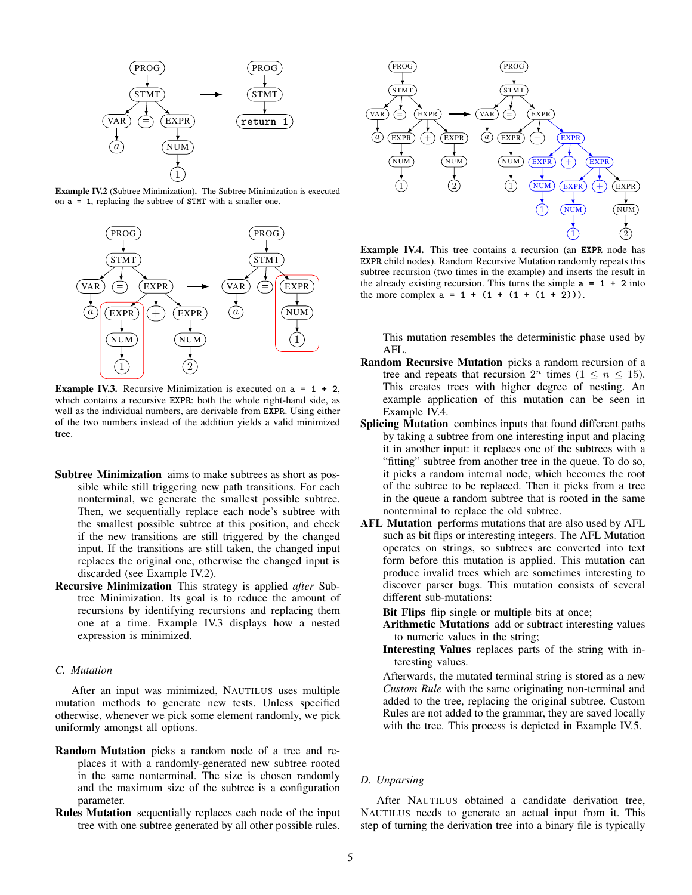

<span id="page-4-0"></span>Example IV.2 (Subtree Minimization). The Subtree Minimization is executed on **a = 1**, replacing the subtree of **STMT** with a smaller one.



<span id="page-4-1"></span>Example IV.3. Recursive Minimization is executed on **a = 1 + 2**, which contains a recursive **EXPR**: both the whole right-hand side, as well as the individual numbers, are derivable from **EXPR**. Using either of the two numbers instead of the addition yields a valid minimized tree.

- Subtree Minimization aims to make subtrees as short as possible while still triggering new path transitions. For each nonterminal, we generate the smallest possible subtree. Then, we sequentially replace each node's subtree with the smallest possible subtree at this position, and check if the new transitions are still triggered by the changed input. If the transitions are still taken, the changed input replaces the original one, otherwise the changed input is discarded (see Example [IV.2\)](#page-4-0).
- Recursive Minimization This strategy is applied *after* Subtree Minimization. Its goal is to reduce the amount of recursions by identifying recursions and replacing them one at a time. Example [IV.3](#page-4-1) displays how a nested expression is minimized.

# <span id="page-4-3"></span>*C. Mutation*

After an input was minimized, NAUTILUS uses multiple mutation methods to generate new tests. Unless specified otherwise, whenever we pick some element randomly, we pick uniformly amongst all options.

- Random Mutation picks a random node of a tree and replaces it with a randomly-generated new subtree rooted in the same nonterminal. The size is chosen randomly and the maximum size of the subtree is a configuration parameter.
- Rules Mutation sequentially replaces each node of the input tree with one subtree generated by all other possible rules.



<span id="page-4-2"></span>Example IV.4. This tree contains a recursion (an **EXPR** node has **EXPR** child nodes). Random Recursive Mutation randomly repeats this subtree recursion (two times in the example) and inserts the result in the already existing recursion. This turns the simple  $a = 1 + 2$  into the more complex  $a = 1 + (1 + (1 + (1 + 2)))$ .

This mutation resembles the deterministic phase used by AFL.

- Random Recursive Mutation picks a random recursion of a tree and repeats that recursion  $2^n$  times  $(1 \le n \le 15)$ . This creates trees with higher degree of nesting. An example application of this mutation can be seen in Example [IV.4.](#page-4-2)
- Splicing Mutation combines inputs that found different paths by taking a subtree from one interesting input and placing it in another input: it replaces one of the subtrees with a "fitting" subtree from another tree in the queue. To do so, it picks a random internal node, which becomes the root of the subtree to be replaced. Then it picks from a tree in the queue a random subtree that is rooted in the same nonterminal to replace the old subtree.
- AFL Mutation performs mutations that are also used by AFL such as bit flips or interesting integers. The AFL Mutation operates on strings, so subtrees are converted into text form before this mutation is applied. This mutation can produce invalid trees which are sometimes interesting to discover parser bugs. This mutation consists of several different sub-mutations:

Bit Flips flip single or multiple bits at once;

- Arithmetic Mutations add or subtract interesting values to numeric values in the string;
- Interesting Values replaces parts of the string with interesting values.

Afterwards, the mutated terminal string is stored as a new *Custom Rule* with the same originating non-terminal and added to the tree, replacing the original subtree. Custom Rules are not added to the grammar, they are saved locally with the tree. This process is depicted in Example [IV.5.](#page-5-0)

## *D. Unparsing*

After NAUTILUS obtained a candidate derivation tree, NAUTILUS needs to generate an actual input from it. This step of turning the derivation tree into a binary file is typically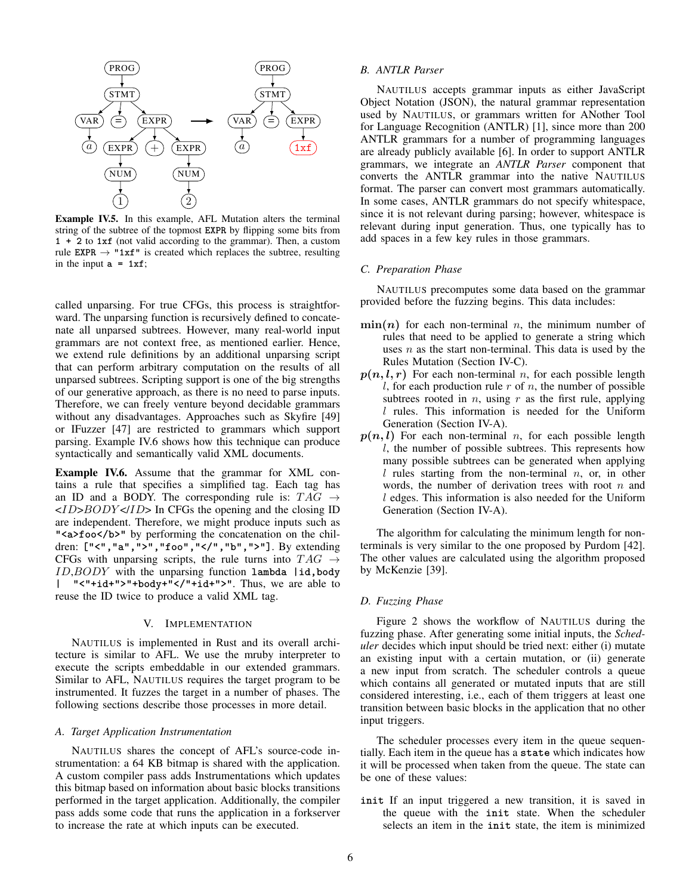

<span id="page-5-0"></span>Example IV.5. In this example, AFL Mutation alters the terminal string of the subtree of the topmost **EXPR** by flipping some bits from **1 + 2** to **1xf** (not valid according to the grammar). Then, a custom rule **EXPR**  $\rightarrow$  "1xf" is created which replaces the subtree, resulting in the input  $a = 1xf$ ;

called unparsing. For true CFGs, this process is straightforward. The unparsing function is recursively defined to concatenate all unparsed subtrees. However, many real-world input grammars are not context free, as mentioned earlier. Hence, we extend rule definitions by an additional unparsing script that can perform arbitrary computation on the results of all unparsed subtrees. Scripting support is one of the big strengths of our generative approach, as there is no need to parse inputs. Therefore, we can freely venture beyond decidable grammars without any disadvantages. Approaches such as Skyfire [\[49\]](#page-14-2) or IFuzzer [\[47\]](#page-14-1) are restricted to grammars which support parsing. Example [IV.6](#page-5-1) shows how this technique can produce syntactically and semantically valid XML documents.

<span id="page-5-1"></span>Example IV.6. Assume that the grammar for XML contains a rule that specifies a simplified tag. Each tag has an ID and a BODY. The corresponding rule is:  $TAG \rightarrow$  $\langle ID\rangle BODY \langle ID\rangle$  In CFGs the opening and the closing ID are independent. Therefore, we might produce inputs such as "<a>foo</b>" by performing the concatenation on the children: **["<","a",">","foo","</","b",">"]**. By extending CFGs with unparsing scripts, the rule turns into  $TAG \rightarrow$ ID,BODY with the unparsing function **lambda |id,body | "<"+id+">"+body+"</"+id+">"**. Thus, we are able to reuse the ID twice to produce a valid XML tag.

## V. IMPLEMENTATION

NAUTILUS is implemented in Rust and its overall architecture is similar to AFL. We use the mruby interpreter to execute the scripts embeddable in our extended grammars. Similar to AFL, NAUTILUS requires the target program to be instrumented. It fuzzes the target in a number of phases. The following sections describe those processes in more detail.

## *A. Target Application Instrumentation*

NAUTILUS shares the concept of AFL's source-code instrumentation: a 64 KB bitmap is shared with the application. A custom compiler pass adds Instrumentations which updates this bitmap based on information about basic blocks transitions performed in the target application. Additionally, the compiler pass adds some code that runs the application in a forkserver to increase the rate at which inputs can be executed.

# *B. ANTLR Parser*

NAUTILUS accepts grammar inputs as either JavaScript Object Notation (JSON), the natural grammar representation used by NAUTILUS, or grammars written for ANother Tool for Language Recognition (ANTLR) [\[1\]](#page-13-6), since more than 200 ANTLR grammars for a number of programming languages are already publicly available [\[6\]](#page-13-4). In order to support ANTLR grammars, we integrate an *ANTLR Parser* component that converts the ANTLR grammar into the native NAUTILUS format. The parser can convert most grammars automatically. In some cases, ANTLR grammars do not specify whitespace, since it is not relevant during parsing; however, whitespace is relevant during input generation. Thus, one typically has to add spaces in a few key rules in those grammars.

## *C. Preparation Phase*

NAUTILUS precomputes some data based on the grammar provided before the fuzzing begins. This data includes:

- $\min(n)$  for each non-terminal n, the minimum number of rules that need to be applied to generate a string which uses  $n$  as the start non-terminal. This data is used by the Rules Mutation (Section [IV-C\)](#page-4-3).
- $p(n, l, r)$  For each non-terminal n, for each possible length l, for each production rule  $r$  of  $n$ , the number of possible subtrees rooted in  $n$ , using  $r$  as the first rule, applying l rules. This information is needed for the Uniform Generation (Section [IV-A\)](#page-3-4).
- $p(n, l)$  For each non-terminal n, for each possible length l, the number of possible subtrees. This represents how many possible subtrees can be generated when applying l rules starting from the non-terminal  $n$ , or, in other words, the number of derivation trees with root  $n$  and l edges. This information is also needed for the Uniform Generation (Section [IV-A\)](#page-3-4).

The algorithm for calculating the minimum length for nonterminals is very similar to the one proposed by Purdom [\[42\]](#page-14-14). The other values are calculated using the algorithm proposed by McKenzie [\[39\]](#page-14-13).

#### *D. Fuzzing Phase*

Figure [2](#page-6-1) shows the workflow of NAUTILUS during the fuzzing phase. After generating some initial inputs, the *Scheduler* decides which input should be tried next: either (i) mutate an existing input with a certain mutation, or (ii) generate a new input from scratch. The scheduler controls a queue which contains all generated or mutated inputs that are still considered interesting, i.e., each of them triggers at least one transition between basic blocks in the application that no other input triggers.

The scheduler processes every item in the queue sequentially. Each item in the queue has a **state** which indicates how it will be processed when taken from the queue. The state can be one of these values:

**init** If an input triggered a new transition, it is saved in the queue with the **init** state. When the scheduler selects an item in the **init** state, the item is minimized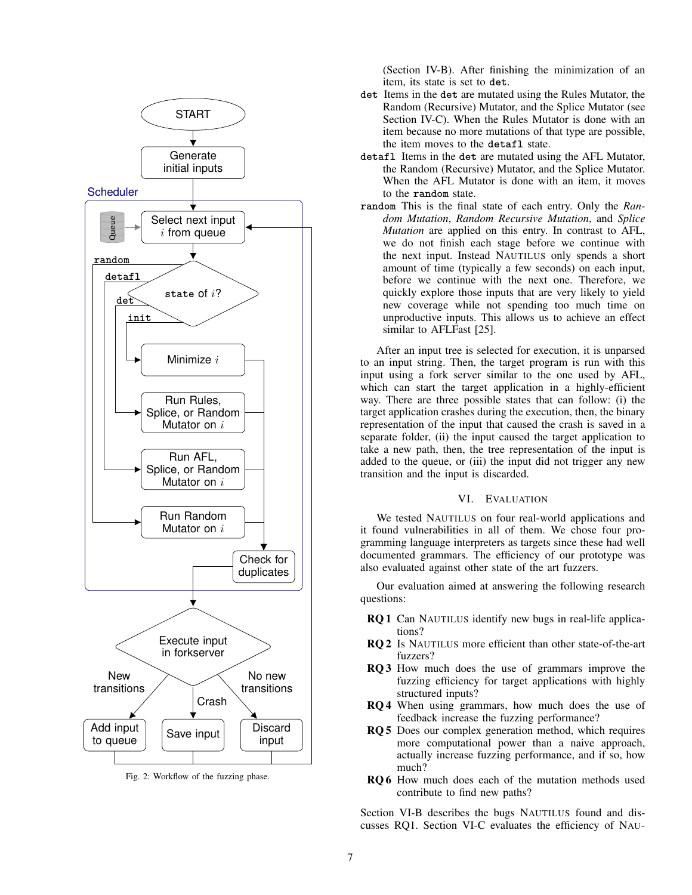<span id="page-6-1"></span>

Fig. 2: Workflow of the fuzzing phase.

(Section [IV-B\)](#page-3-5). After finishing the minimization of an item, its state is set to **det**.

- **det** Items in the **det** are mutated using the Rules Mutator, the Random (Recursive) Mutator, and the Splice Mutator (see Section [IV-C\)](#page-4-3). When the Rules Mutator is done with an item because no more mutations of that type are possible, the item moves to the **detafl** state.
- **detafl** Items in the **det** are mutated using the AFL Mutator, the Random (Recursive) Mutator, and the Splice Mutator. When the AFL Mutator is done with an item, it moves to the **random** state.
- **random** This is the final state of each entry. Only the *Random Mutation*, *Random Recursive Mutation*, and *Splice Mutation* are applied on this entry. In contrast to AFL, we do not finish each stage before we continue with the next input. Instead NAUTILUS only spends a short amount of time (typically a few seconds) on each input, before we continue with the next one. Therefore, we quickly explore those inputs that are very likely to yield new coverage while not spending too much time on unproductive inputs. This allows us to achieve an effect similar to AFLFast [\[25\]](#page-14-15).

After an input tree is selected for execution, it is unparsed to an input string. Then, the target program is run with this input using a fork server similar to the one used by AFL, which can start the target application in a highly-efficient way. There are three possible states that can follow: (i) the target application crashes during the execution, then, the binary representation of the input that caused the crash is saved in a separate folder, (ii) the input caused the target application to take a new path, then, the tree representation of the input is added to the queue, or (iii) the input did not trigger any new transition and the input is discarded.

# VI. EVALUATION

<span id="page-6-0"></span>We tested NAUTILUS on four real-world applications and it found vulnerabilities in all of them. We chose four programming language interpreters as targets since these had well documented grammars. The efficiency of our prototype was also evaluated against other state of the art fuzzers.

Our evaluation aimed at answering the following research questions:

- <span id="page-6-2"></span>RQ 1 Can NAUTILUS identify new bugs in real-life applications?
- <span id="page-6-3"></span>RQ 2 Is NAUTILUS more efficient than other state-of-the-art fuzzers?
- <span id="page-6-4"></span>RQ 3 How much does the use of grammars improve the fuzzing efficiency for target applications with highly structured inputs?
- <span id="page-6-5"></span>RQ 4 When using grammars, how much does the use of feedback increase the fuzzing performance?
- <span id="page-6-6"></span>RQ 5 Does our complex generation method, which requires more computational power than a naive approach, actually increase fuzzing performance, and if so, how much?
- <span id="page-6-7"></span>RQ 6 How much does each of the mutation methods used contribute to find new paths?

Section [VI-B](#page-7-0) describes the bugs NAUTILUS found and discusses [RQ1.](#page-6-2) Section [VI-C](#page-8-0) evaluates the efficiency of NAU-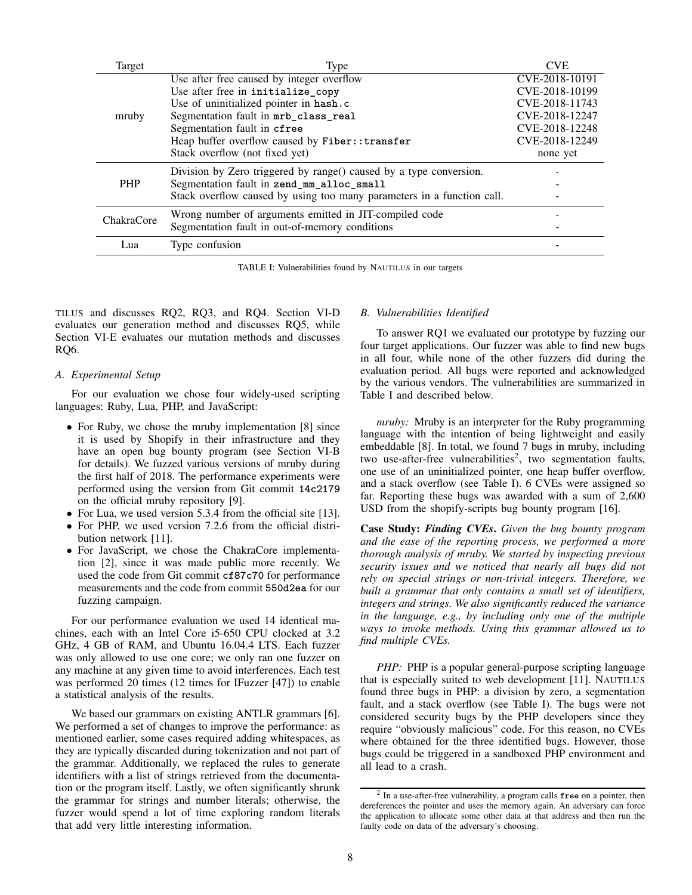<span id="page-7-1"></span>

| Target     | Type                                                                   | <b>CVE</b>     |
|------------|------------------------------------------------------------------------|----------------|
| mruby      | Use after free caused by integer overflow                              | CVE-2018-10191 |
|            | Use after free in initialize_copy                                      | CVE-2018-10199 |
|            | Use of uninitialized pointer in hash.c                                 | CVE-2018-11743 |
|            | Segmentation fault in mrb_class_real                                   | CVE-2018-12247 |
|            | Segmentation fault in cfree                                            | CVE-2018-12248 |
|            | Heap buffer overflow caused by Fiber:: transfer                        | CVE-2018-12249 |
|            | Stack overflow (not fixed yet)                                         | none yet       |
|            | Division by Zero triggered by range() caused by a type conversion.     |                |
| <b>PHP</b> | Segmentation fault in zend_mm_alloc_small                              |                |
|            | Stack overflow caused by using too many parameters in a function call. |                |
| ChakraCore | Wrong number of arguments emitted in JIT-compiled code                 |                |
|            | Segmentation fault in out-of-memory conditions                         |                |
| Lua        | Type confusion                                                         |                |
|            |                                                                        |                |

TABLE I: Vulnerabilities found by NAUTILUS in our targets

TILUS and discusses [RQ2,](#page-6-3) [RQ3,](#page-6-4) and [RQ4.](#page-6-5) Section [VI-D](#page-10-0) evaluates our generation method and discusses [RQ5,](#page-6-6) while Section [VI-E](#page-10-1) evaluates our mutation methods and discusses [RQ6.](#page-6-7)

#### *A. Experimental Setup*

For our evaluation we chose four widely-used scripting languages: Ruby, Lua, PHP, and JavaScript:

- For Ruby, we chose the mruby implementation [\[8\]](#page-13-7) since it is used by Shopify in their infrastructure and they have an open bug bounty program (see Section [VI-B](#page-7-0) for details). We fuzzed various versions of mruby during the first half of 2018. The performance experiments were performed using the version from Git commit **14c2179** on the official mruby repository [\[9\]](#page-13-8).
- For Lua, we used version 5.3.4 from the official site [\[13\]](#page-13-9).
- For PHP, we used version 7.2.6 from the official distribution network [\[11\]](#page-13-10).
- For JavaScript, we chose the ChakraCore implementation [\[2\]](#page-13-11), since it was made public more recently. We used the code from Git commit **cf87c70** for performance measurements and the code from commit **550d2ea** for our fuzzing campaign.

For our performance evaluation we used 14 identical machines, each with an Intel Core i5-650 CPU clocked at 3.2 GHz, 4 GB of RAM, and Ubuntu 16.04.4 LTS. Each fuzzer was only allowed to use one core; we only ran one fuzzer on any machine at any given time to avoid interferences. Each test was performed 20 times (12 times for IFuzzer [\[47\]](#page-14-1)) to enable a statistical analysis of the results.

We based our grammars on existing ANTLR grammars [\[6\]](#page-13-4). We performed a set of changes to improve the performance: as mentioned earlier, some cases required adding whitespaces, as they are typically discarded during tokenization and not part of the grammar. Additionally, we replaced the rules to generate identifiers with a list of strings retrieved from the documentation or the program itself. Lastly, we often significantly shrunk the grammar for strings and number literals; otherwise, the fuzzer would spend a lot of time exploring random literals that add very little interesting information.

#### <span id="page-7-0"></span>*B. Vulnerabilities Identified*

To answer [RQ1](#page-6-2) we evaluated our prototype by fuzzing our four target applications. Our fuzzer was able to find new bugs in all four, while none of the other fuzzers did during the evaluation period. All bugs were reported and acknowledged by the various vendors. The vulnerabilities are summarized in Table [I](#page-7-1) and described below.

*mruby:* Mruby is an interpreter for the Ruby programming language with the intention of being lightweight and easily embeddable [\[8\]](#page-13-7). In total, we found 7 bugs in mruby, including two use-after-free vulnerabilities<sup>[2](#page-7-2)</sup>, two segmentation faults, one use of an uninitialized pointer, one heap buffer overflow, and a stack overflow (see Table [I\)](#page-7-1). 6 CVEs were assigned so far. Reporting these bugs was awarded with a sum of 2,600 USD from the shopify-scripts bug bounty program [\[16\]](#page-13-12).

Case Study: *Finding CVEs*. *Given the bug bounty program and the ease of the reporting process, we performed a more thorough analysis of mruby. We started by inspecting previous security issues and we noticed that nearly all bugs did not rely on special strings or non-trivial integers. Therefore, we built a grammar that only contains a small set of identifiers, integers and strings. We also significantly reduced the variance in the language, e.g., by including only one of the multiple ways to invoke methods. Using this grammar allowed us to find multiple CVEs.*

*PHP*: PHP is a popular general-purpose scripting language that is especially suited to web development [\[11\]](#page-13-10). NAUTILUS found three bugs in PHP: a division by zero, a segmentation fault, and a stack overflow (see Table [I\)](#page-7-1). The bugs were not considered security bugs by the PHP developers since they require "obviously malicious" code. For this reason, no CVEs where obtained for the three identified bugs. However, those bugs could be triggered in a sandboxed PHP environment and all lead to a crash.

<span id="page-7-2"></span><sup>2</sup> In a use-after-free vulnerability, a program calls **free** on a pointer, then dereferences the pointer and uses the memory again. An adversary can force the application to allocate some other data at that address and then run the faulty code on data of the adversary's choosing.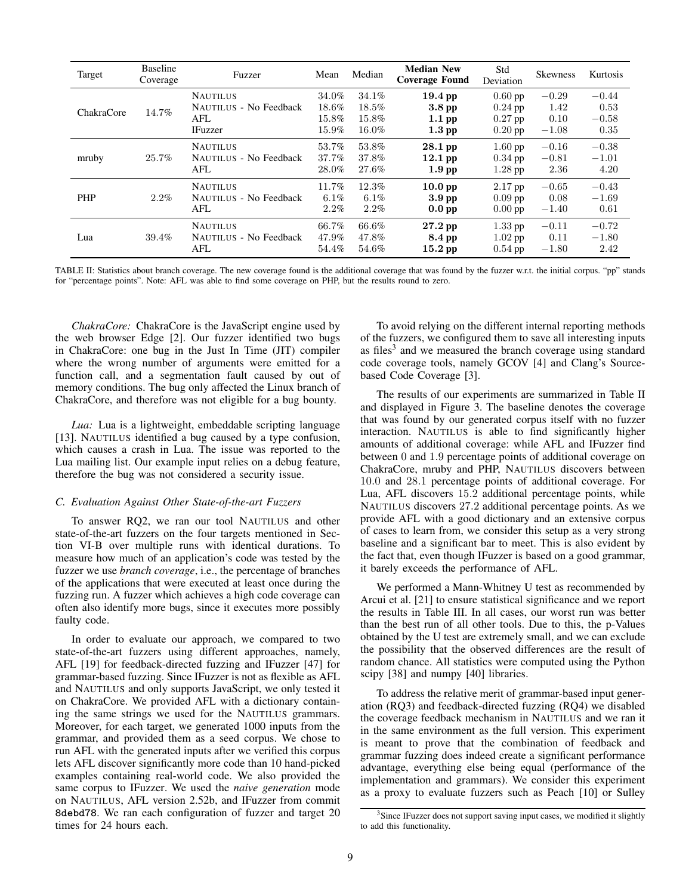<span id="page-8-2"></span>

| Target     | <b>Baseline</b><br>Coverage | Fuzzer                                                             | Mean                             | Median                              | <b>Median New</b><br><b>Coverage Found</b>             | Std<br>Deviation                                 | <b>Skewness</b>                    | Kurtosis                           |
|------------|-----------------------------|--------------------------------------------------------------------|----------------------------------|-------------------------------------|--------------------------------------------------------|--------------------------------------------------|------------------------------------|------------------------------------|
| ChakraCore | 14.7%                       | <b>NAUTILUS</b><br>NAUTILUS - No Feedback<br>AFL<br><b>IFuzzer</b> | 34.0%<br>18.6%<br>15.8%<br>15.9% | 34.1%<br>$18.5\%$<br>15.8%<br>16.0% | $19.4$ pp<br>3.8 <sub>pp</sub><br>$1.1$ pp<br>$1.3$ pp | $0.60$ pp<br>$0.24$ pp<br>$0.27$ pp<br>$0.20$ pp | $-0.29$<br>1.42<br>0.10<br>$-1.08$ | $-0.44$<br>0.53<br>$-0.58$<br>0.35 |
| mruby      | 25.7%                       | <b>NAUTILUS</b><br>NAUTILUS - No Feedback<br>AFL                   | 53.7%<br>37.7%<br>28.0%          | 53.8%<br>37.8%<br>27.6%             | $28.1$ pp<br>$12.1$ pp<br>1.9 <sub>pp</sub>            | $1.60$ pp<br>$0.34$ pp<br>$1.28$ pp              | $-0.16$<br>$-0.81$<br>2.36         | $-0.38$<br>$-1.01$<br>4.20         |
| <b>PHP</b> | 2.2%                        | <b>NAUTILUS</b><br>NAUTILUS - No Feedback<br>AFL                   | 11.7%<br>6.1%<br>2.2%            | 12.3%<br>6.1%<br>2.2%               | 10.0 <sub>pp</sub><br>3.9 <sub>pp</sub><br>$0.0$ pp    | $2.17$ pp<br>$0.09$ pp<br>$0.00$ pp              | $-0.65$<br>0.08<br>$-1.40$         | $-0.43$<br>$-1.69$<br>0.61         |
| Lua        | 39.4%                       | <b>NAUTILUS</b><br><b>NAUTILUS - No Feedback</b><br>AFL            | 66.7%<br>47.9%<br>54.4%          | 66.6%<br>47.8%<br>54.6%             | $27.2$ pp<br>8.4 pp<br>$15.2$ pp                       | $1.33$ pp<br>$1.02$ pp<br>$0.54$ pp              | $-0.11$<br>0.11<br>$-1.80$         | $-0.72$<br>$-1.80$<br>2.42         |

TABLE II: Statistics about branch coverage. The new coverage found is the additional coverage that was found by the fuzzer w.r.t. the initial corpus. "pp" stands for "percentage points". Note: AFL was able to find some coverage on PHP, but the results round to zero.

*ChakraCore:* ChakraCore is the JavaScript engine used by the web browser Edge [\[2\]](#page-13-11). Our fuzzer identified two bugs in ChakraCore: one bug in the Just In Time (JIT) compiler where the wrong number of arguments were emitted for a function call, and a segmentation fault caused by out of memory conditions. The bug only affected the Linux branch of ChakraCore, and therefore was not eligible for a bug bounty.

*Lua:* Lua is a lightweight, embeddable scripting language [\[13\]](#page-13-9). NAUTILUS identified a bug caused by a type confusion, which causes a crash in Lua. The issue was reported to the Lua mailing list. Our example input relies on a debug feature, therefore the bug was not considered a security issue.

## <span id="page-8-0"></span>*C. Evaluation Against Other State-of-the-art Fuzzers*

To answer [RQ2,](#page-6-3) we ran our tool NAUTILUS and other state-of-the-art fuzzers on the four targets mentioned in Section [VI-B](#page-7-0) over multiple runs with identical durations. To measure how much of an application's code was tested by the fuzzer we use *branch coverage*, i.e., the percentage of branches of the applications that were executed at least once during the fuzzing run. A fuzzer which achieves a high code coverage can often also identify more bugs, since it executes more possibly faulty code.

In order to evaluate our approach, we compared to two state-of-the-art fuzzers using different approaches, namely, AFL [\[19\]](#page-13-3) for feedback-directed fuzzing and IFuzzer [\[47\]](#page-14-1) for grammar-based fuzzing. Since IFuzzer is not as flexible as AFL and NAUTILUS and only supports JavaScript, we only tested it on ChakraCore. We provided AFL with a dictionary containing the same strings we used for the NAUTILUS grammars. Moreover, for each target, we generated 1000 inputs from the grammar, and provided them as a seed corpus. We chose to run AFL with the generated inputs after we verified this corpus lets AFL discover significantly more code than 10 hand-picked examples containing real-world code. We also provided the same corpus to IFuzzer. We used the *naive generation* mode on NAUTILUS, AFL version 2.52b, and IFuzzer from commit **8debd78**. We ran each configuration of fuzzer and target 20 times for 24 hours each.

To avoid relying on the different internal reporting methods of the fuzzers, we configured them to save all interesting inputs as files<sup>[3](#page-8-1)</sup> and we measured the branch coverage using standard code coverage tools, namely GCOV [\[4\]](#page-13-13) and Clang's Sourcebased Code Coverage [\[3\]](#page-13-14).

The results of our experiments are summarized in Table [II](#page-8-2) and displayed in Figure [3.](#page-9-0) The baseline denotes the coverage that was found by our generated corpus itself with no fuzzer interaction. NAUTILUS is able to find significantly higher amounts of additional coverage: while AFL and IFuzzer find between 0 and 1.9 percentage points of additional coverage on ChakraCore, mruby and PHP, NAUTILUS discovers between 10.0 and 28.1 percentage points of additional coverage. For Lua, AFL discovers 15.2 additional percentage points, while NAUTILUS discovers 27.2 additional percentage points. As we provide AFL with a good dictionary and an extensive corpus of cases to learn from, we consider this setup as a very strong baseline and a significant bar to meet. This is also evident by the fact that, even though IFuzzer is based on a good grammar, it barely exceeds the performance of AFL.

We performed a Mann-Whitney U test as recommended by Arcui et al. [\[21\]](#page-14-16) to ensure statistical significance and we report the results in Table [III.](#page-9-1) In all cases, our worst run was better than the best run of all other tools. Due to this, the p-Values obtained by the U test are extremely small, and we can exclude the possibility that the observed differences are the result of random chance. All statistics were computed using the Python scipy [\[38\]](#page-14-17) and numpy [\[40\]](#page-14-18) libraries.

To address the relative merit of grammar-based input generation [\(RQ3\)](#page-6-4) and feedback-directed fuzzing [\(RQ4\)](#page-6-5) we disabled the coverage feedback mechanism in NAUTILUS and we ran it in the same environment as the full version. This experiment is meant to prove that the combination of feedback and grammar fuzzing does indeed create a significant performance advantage, everything else being equal (performance of the implementation and grammars). We consider this experiment as a proxy to evaluate fuzzers such as Peach [\[10\]](#page-13-15) or Sulley

<span id="page-8-1"></span><sup>&</sup>lt;sup>3</sup>Since IFuzzer does not support saving input cases, we modified it slightly to add this functionality.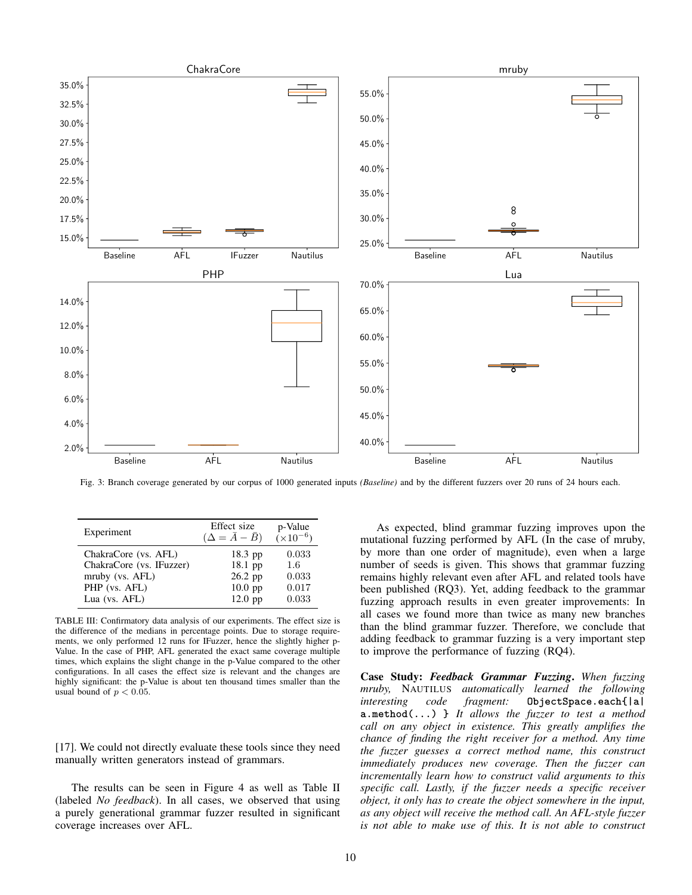<span id="page-9-0"></span>

Fig. 3: Branch coverage generated by our corpus of 1000 generated inputs *(Baseline)* and by the different fuzzers over 20 runs of 24 hours each.

<span id="page-9-1"></span>

| Experiment               | Effect size<br>$(\Delta = \bar{A} - \bar{B})$ | p-Value<br>$(x10^{-6})$ |
|--------------------------|-----------------------------------------------|-------------------------|
| ChakraCore (vs. AFL)     | 18.3 pp                                       | 0.033                   |
| ChakraCore (vs. IFuzzer) | 18.1 pp                                       | 1.6                     |
| mruby (vs. AFL)          | 26.2 pp                                       | 0.033                   |
| PHP (vs. AFL)            | $10.0$ pp                                     | 0.017                   |
| Lua (vs. AFL)            | $12.0$ pp                                     | 0.033                   |

TABLE III: Confirmatory data analysis of our experiments. The effect size is the difference of the medians in percentage points. Due to storage requirements, we only performed 12 runs for IFuzzer, hence the slightly higher p-Value. In the case of PHP, AFL generated the exact same coverage multiple times, which explains the slight change in the p-Value compared to the other configurations. In all cases the effect size is relevant and the changes are highly significant: the p-Value is about ten thousand times smaller than the usual bound of  $p < 0.05$ .

[\[17\]](#page-13-2). We could not directly evaluate these tools since they need manually written generators instead of grammars.

The results can be seen in Figure [4](#page-10-2) as well as Table [II](#page-8-2) (labeled *No feedback*). In all cases, we observed that using a purely generational grammar fuzzer resulted in significant coverage increases over AFL.

As expected, blind grammar fuzzing improves upon the mutational fuzzing performed by AFL (In the case of mruby, by more than one order of magnitude), even when a large number of seeds is given. This shows that grammar fuzzing remains highly relevant even after AFL and related tools have been published [\(RQ3\)](#page-6-4). Yet, adding feedback to the grammar fuzzing approach results in even greater improvements: In all cases we found more than twice as many new branches than the blind grammar fuzzer. Therefore, we conclude that adding feedback to grammar fuzzing is a very important step to improve the performance of fuzzing [\(RQ4\)](#page-6-5).

Case Study: *Feedback Grammar Fuzzing*. *When fuzzing mruby,* NAUTILUS *automatically learned the following interesting code fragment:* **ObjectSpace.each{|a| a.method(...) }** *It allows the fuzzer to test a method call on any object in existence. This greatly amplifies the chance of finding the right receiver for a method. Any time the fuzzer guesses a correct method name, this construct immediately produces new coverage. Then the fuzzer can incrementally learn how to construct valid arguments to this specific call. Lastly, if the fuzzer needs a specific receiver object, it only has to create the object somewhere in the input, as any object will receive the method call. An AFL-style fuzzer is not able to make use of this. It is not able to construct*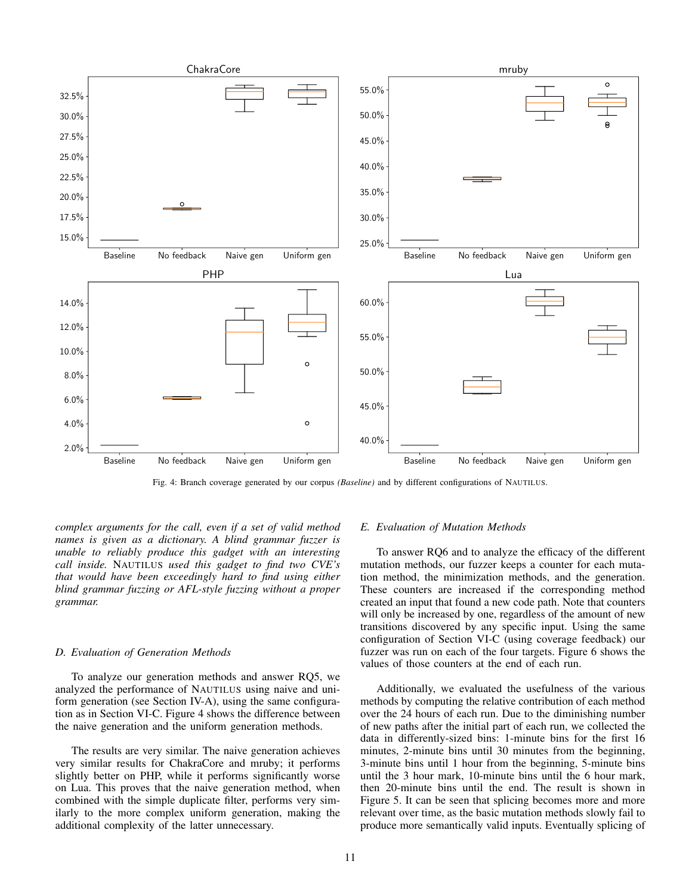<span id="page-10-2"></span>

Fig. 4: Branch coverage generated by our corpus *(Baseline)* and by different configurations of NAUTILUS.

*complex arguments for the call, even if a set of valid method names is given as a dictionary. A blind grammar fuzzer is unable to reliably produce this gadget with an interesting call inside.* NAUTILUS *used this gadget to find two CVE's that would have been exceedingly hard to find using either blind grammar fuzzing or AFL-style fuzzing without a proper grammar.*

#### <span id="page-10-0"></span>*D. Evaluation of Generation Methods*

To analyze our generation methods and answer [RQ5,](#page-6-6) we analyzed the performance of NAUTILUS using naive and uniform generation (see Section [IV-A\)](#page-3-4), using the same configuration as in Section [VI-C.](#page-8-0) Figure [4](#page-10-2) shows the difference between the naive generation and the uniform generation methods.

The results are very similar. The naive generation achieves very similar results for ChakraCore and mruby; it performs slightly better on PHP, while it performs significantly worse on Lua. This proves that the naive generation method, when combined with the simple duplicate filter, performs very similarly to the more complex uniform generation, making the additional complexity of the latter unnecessary.

#### <span id="page-10-1"></span>*E. Evaluation of Mutation Methods*

To answer [RQ6](#page-6-7) and to analyze the efficacy of the different mutation methods, our fuzzer keeps a counter for each mutation method, the minimization methods, and the generation. These counters are increased if the corresponding method created an input that found a new code path. Note that counters will only be increased by one, regardless of the amount of new transitions discovered by any specific input. Using the same configuration of Section [VI-C](#page-8-0) (using coverage feedback) our fuzzer was run on each of the four targets. Figure [6](#page-11-0) shows the values of those counters at the end of each run.

Additionally, we evaluated the usefulness of the various methods by computing the relative contribution of each method over the 24 hours of each run. Due to the diminishing number of new paths after the initial part of each run, we collected the data in differently-sized bins: 1-minute bins for the first 16 minutes, 2-minute bins until 30 minutes from the beginning, 3-minute bins until 1 hour from the beginning, 5-minute bins until the 3 hour mark, 10-minute bins until the 6 hour mark, then 20-minute bins until the end. The result is shown in Figure [5.](#page-11-1) It can be seen that splicing becomes more and more relevant over time, as the basic mutation methods slowly fail to produce more semantically valid inputs. Eventually splicing of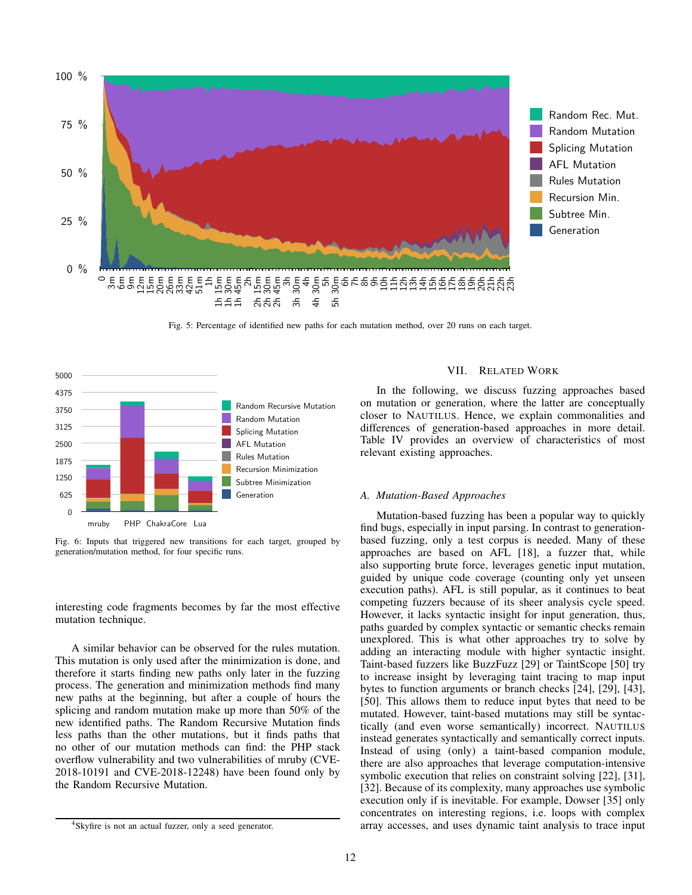<span id="page-11-1"></span>

Fig. 5: Percentage of identified new paths for each mutation method, over 20 runs on each target.

<span id="page-11-0"></span>

Fig. 6: Inputs that triggered new transitions for each target, grouped by generation/mutation method, for four specific runs.

interesting code fragments becomes by far the most effective mutation technique.

A similar behavior can be observed for the rules mutation. This mutation is only used after the minimization is done, and therefore it starts finding new paths only later in the fuzzing process. The generation and minimization methods find many new paths at the beginning, but after a couple of hours the splicing and random mutation make up more than 50% of the new identified paths. The Random Recursive Mutation finds less paths than the other mutations, but it finds paths that no other of our mutation methods can find: the PHP stack overflow vulnerability and two vulnerabilities of mruby (CVE-2018-10191 and CVE-2018-12248) have been found only by the Random Recursive Mutation.

# VII. RELATED WORK

In the following, we discuss fuzzing approaches based on mutation or generation, where the latter are conceptually closer to NAUTILUS. Hence, we explain commonalities and differences of generation-based approaches in more detail. Table [IV](#page-12-0) provides an overview of characteristics of most relevant existing approaches.

## *A. Mutation-Based Approaches*

Mutation-based fuzzing has been a popular way to quickly find bugs, especially in input parsing. In contrast to generationbased fuzzing, only a test corpus is needed. Many of these approaches are based on AFL [\[18\]](#page-13-0), a fuzzer that, while also supporting brute force, leverages genetic input mutation, guided by unique code coverage (counting only yet unseen execution paths). AFL is still popular, as it continues to beat competing fuzzers because of its sheer analysis cycle speed. However, it lacks syntactic insight for input generation, thus, paths guarded by complex syntactic or semantic checks remain unexplored. This is what other approaches try to solve by adding an interacting module with higher syntactic insight. Taint-based fuzzers like BuzzFuzz [\[29\]](#page-14-5) or TaintScope [\[50\]](#page-14-7) try to increase insight by leveraging taint tracing to map input bytes to function arguments or branch checks [\[24\]](#page-14-3), [\[29\]](#page-14-5), [\[43\]](#page-14-6), [\[50\]](#page-14-7). This allows them to reduce input bytes that need to be mutated. However, taint-based mutations may still be syntactically (and even worse semantically) incorrect. NAUTILUS instead generates syntactically and semantically correct inputs. Instead of using (only) a taint-based companion module, there are also approaches that leverage computation-intensive symbolic execution that relies on constraint solving [\[22\]](#page-14-19), [\[31\]](#page-14-9), [\[32\]](#page-14-10). Because of its complexity, many approaches use symbolic execution only if is inevitable. For example, Dowser [\[35\]](#page-14-20) only concentrates on interesting regions, i.e. loops with complex array accesses, and uses dynamic taint analysis to trace input

<span id="page-11-2"></span><sup>4</sup>Skyfire is not an actual fuzzer, only a seed generator.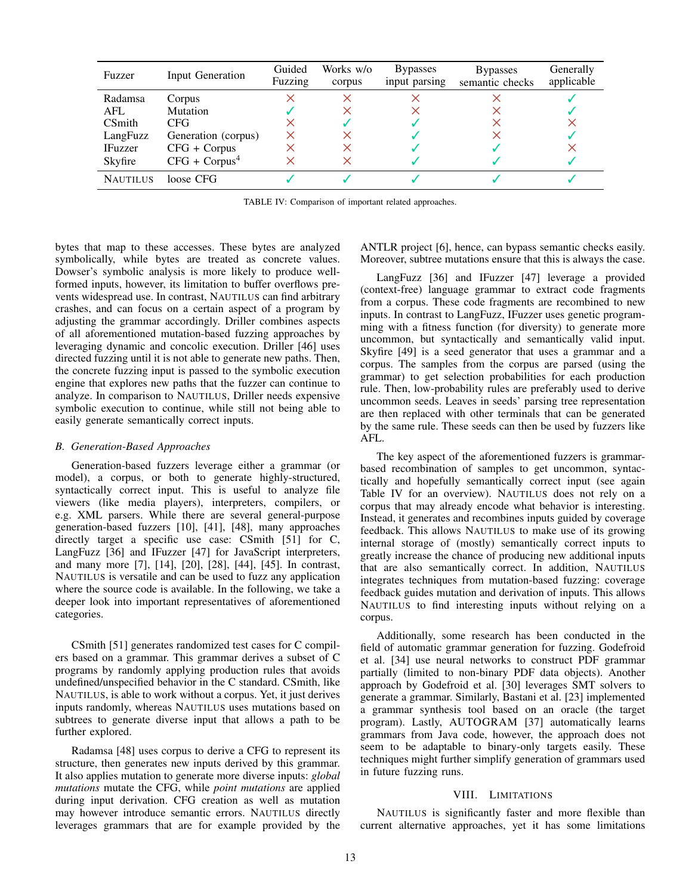<span id="page-12-0"></span>

| Fuzzer          | Input Generation    | Guided<br>Fuzzing | Works w/o<br>corpus | <b>Bypasses</b><br>input parsing | <b>Bypasses</b><br>semantic checks | Generally<br>applicable |
|-----------------|---------------------|-------------------|---------------------|----------------------------------|------------------------------------|-------------------------|
| Radamsa         | Corpus              |                   |                     |                                  |                                    |                         |
| AFL             | <b>Mutation</b>     |                   |                     |                                  |                                    |                         |
| <b>CSmith</b>   | CFG                 | x                 |                     |                                  |                                    |                         |
| LangFuzz        | Generation (corpus) | X                 |                     |                                  |                                    |                         |
| <b>IFuzzer</b>  | $CFG + Corpus$      | X                 |                     |                                  |                                    |                         |
| Skyfire         | $CFG + Corpus4$     | $\times$          |                     |                                  |                                    |                         |
| <b>NAUTILUS</b> | loose CFG           |                   |                     |                                  |                                    |                         |

TABLE IV: Comparison of important related approaches.

bytes that map to these accesses. These bytes are analyzed symbolically, while bytes are treated as concrete values. Dowser's symbolic analysis is more likely to produce wellformed inputs, however, its limitation to buffer overflows prevents widespread use. In contrast, NAUTILUS can find arbitrary crashes, and can focus on a certain aspect of a program by adjusting the grammar accordingly. Driller combines aspects of all aforementioned mutation-based fuzzing approaches by leveraging dynamic and concolic execution. Driller [\[46\]](#page-14-11) uses directed fuzzing until it is not able to generate new paths. Then, the concrete fuzzing input is passed to the symbolic execution engine that explores new paths that the fuzzer can continue to analyze. In comparison to NAUTILUS, Driller needs expensive symbolic execution to continue, while still not being able to easily generate semantically correct inputs.

## *B. Generation-Based Approaches*

Generation-based fuzzers leverage either a grammar (or model), a corpus, or both to generate highly-structured, syntactically correct input. This is useful to analyze file viewers (like media players), interpreters, compilers, or e.g. XML parsers. While there are several general-purpose generation-based fuzzers [\[10\]](#page-13-15), [\[41\]](#page-14-21), [\[48\]](#page-14-22), many approaches directly target a specific use case: CSmith [\[51\]](#page-14-23) for C, LangFuzz [\[36\]](#page-14-0) and IFuzzer [\[47\]](#page-14-1) for JavaScript interpreters, and many more [\[7\]](#page-13-16), [\[14\]](#page-13-17), [\[20\]](#page-13-18), [\[28\]](#page-14-24), [\[44\]](#page-14-25), [\[45\]](#page-14-26). In contrast, NAUTILUS is versatile and can be used to fuzz any application where the source code is available. In the following, we take a deeper look into important representatives of aforementioned categories.

CSmith [\[51\]](#page-14-23) generates randomized test cases for C compilers based on a grammar. This grammar derives a subset of C programs by randomly applying production rules that avoids undefined/unspecified behavior in the C standard. CSmith, like NAUTILUS, is able to work without a corpus. Yet, it just derives inputs randomly, whereas NAUTILUS uses mutations based on subtrees to generate diverse input that allows a path to be further explored.

Radamsa [\[48\]](#page-14-22) uses corpus to derive a CFG to represent its structure, then generates new inputs derived by this grammar. It also applies mutation to generate more diverse inputs: *global mutations* mutate the CFG, while *point mutations* are applied during input derivation. CFG creation as well as mutation may however introduce semantic errors. NAUTILUS directly leverages grammars that are for example provided by the ANTLR project [\[6\]](#page-13-4), hence, can bypass semantic checks easily. Moreover, subtree mutations ensure that this is always the case.

LangFuzz [\[36\]](#page-14-0) and IFuzzer [\[47\]](#page-14-1) leverage a provided (context-free) language grammar to extract code fragments from a corpus. These code fragments are recombined to new inputs. In contrast to LangFuzz, IFuzzer uses genetic programming with a fitness function (for diversity) to generate more uncommon, but syntactically and semantically valid input. Skyfire [\[49\]](#page-14-2) is a seed generator that uses a grammar and a corpus. The samples from the corpus are parsed (using the grammar) to get selection probabilities for each production rule. Then, low-probability rules are preferably used to derive uncommon seeds. Leaves in seeds' parsing tree representation are then replaced with other terminals that can be generated by the same rule. These seeds can then be used by fuzzers like AFL.

The key aspect of the aforementioned fuzzers is grammarbased recombination of samples to get uncommon, syntactically and hopefully semantically correct input (see again Table [IV](#page-12-0) for an overview). NAUTILUS does not rely on a corpus that may already encode what behavior is interesting. Instead, it generates and recombines inputs guided by coverage feedback. This allows NAUTILUS to make use of its growing internal storage of (mostly) semantically correct inputs to greatly increase the chance of producing new additional inputs that are also semantically correct. In addition, NAUTILUS integrates techniques from mutation-based fuzzing: coverage feedback guides mutation and derivation of inputs. This allows NAUTILUS to find interesting inputs without relying on a corpus.

Additionally, some research has been conducted in the field of automatic grammar generation for fuzzing. Godefroid et al. [\[34\]](#page-14-27) use neural networks to construct PDF grammar partially (limited to non-binary PDF data objects). Another approach by Godefroid et al. [\[30\]](#page-14-28) leverages SMT solvers to generate a grammar. Similarly, Bastani et al. [\[23\]](#page-14-29) implemented a grammar synthesis tool based on an oracle (the target program). Lastly, AUTOGRAM [\[37\]](#page-14-30) automatically learns grammars from Java code, however, the approach does not seem to be adaptable to binary-only targets easily. These techniques might further simplify generation of grammars used in future fuzzing runs.

## VIII. LIMITATIONS

NAUTILUS is significantly faster and more flexible than current alternative approaches, yet it has some limitations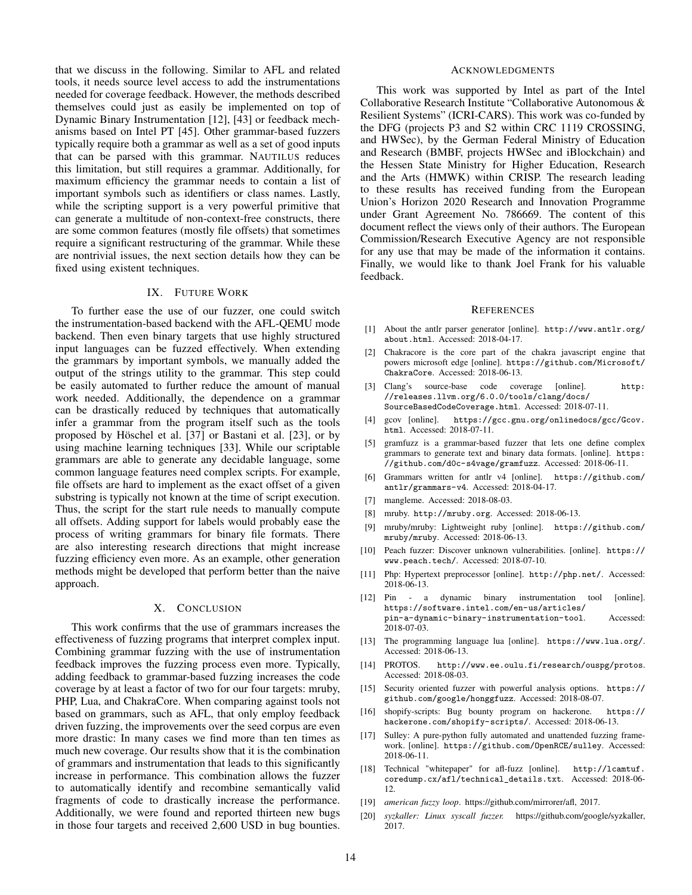that we discuss in the following. Similar to AFL and related tools, it needs source level access to add the instrumentations needed for coverage feedback. However, the methods described themselves could just as easily be implemented on top of Dynamic Binary Instrumentation [\[12\]](#page-13-19), [\[43\]](#page-14-6) or feedback mechanisms based on Intel PT [\[45\]](#page-14-26). Other grammar-based fuzzers typically require both a grammar as well as a set of good inputs that can be parsed with this grammar. NAUTILUS reduces this limitation, but still requires a grammar. Additionally, for maximum efficiency the grammar needs to contain a list of important symbols such as identifiers or class names. Lastly, while the scripting support is a very powerful primitive that can generate a multitude of non-context-free constructs, there are some common features (mostly file offsets) that sometimes require a significant restructuring of the grammar. While these are nontrivial issues, the next section details how they can be fixed using existent techniques.

## IX. FUTURE WORK

To further ease the use of our fuzzer, one could switch the instrumentation-based backend with the AFL-QEMU mode backend. Then even binary targets that use highly structured input languages can be fuzzed effectively. When extending the grammars by important symbols, we manually added the output of the strings utility to the grammar. This step could be easily automated to further reduce the amount of manual work needed. Additionally, the dependence on a grammar can be drastically reduced by techniques that automatically infer a grammar from the program itself such as the tools proposed by Höschel et al. [\[37\]](#page-14-30) or Bastani et al. [\[23\]](#page-14-29), or by using machine learning techniques [\[33\]](#page-14-31). While our scriptable grammars are able to generate any decidable language, some common language features need complex scripts. For example, file offsets are hard to implement as the exact offset of a given substring is typically not known at the time of script execution. Thus, the script for the start rule needs to manually compute all offsets. Adding support for labels would probably ease the process of writing grammars for binary file formats. There are also interesting research directions that might increase fuzzing efficiency even more. As an example, other generation methods might be developed that perform better than the naive approach.

## X. CONCLUSION

This work confirms that the use of grammars increases the effectiveness of fuzzing programs that interpret complex input. Combining grammar fuzzing with the use of instrumentation feedback improves the fuzzing process even more. Typically, adding feedback to grammar-based fuzzing increases the code coverage by at least a factor of two for our four targets: mruby, PHP, Lua, and ChakraCore. When comparing against tools not based on grammars, such as AFL, that only employ feedback driven fuzzing, the improvements over the seed corpus are even more drastic: In many cases we find more than ten times as much new coverage. Our results show that it is the combination of grammars and instrumentation that leads to this significantly increase in performance. This combination allows the fuzzer to automatically identify and recombine semantically valid fragments of code to drastically increase the performance. Additionally, we were found and reported thirteen new bugs in those four targets and received 2,600 USD in bug bounties.

#### ACKNOWLEDGMENTS

This work was supported by Intel as part of the Intel Collaborative Research Institute "Collaborative Autonomous & Resilient Systems" (ICRI-CARS). This work was co-funded by the DFG (projects P3 and S2 within CRC 1119 CROSSING, and HWSec), by the German Federal Ministry of Education and Research (BMBF, projects HWSec and iBlockchain) and the Hessen State Ministry for Higher Education, Research and the Arts (HMWK) within CRISP. The research leading to these results has received funding from the European Union's Horizon 2020 Research and Innovation Programme under Grant Agreement No. 786669. The content of this document reflect the views only of their authors. The European Commission/Research Executive Agency are not responsible for any use that may be made of the information it contains. Finally, we would like to thank Joel Frank for his valuable feedback.

#### **REFERENCES**

- <span id="page-13-6"></span>[1] About the antlr parser generator [online]. [http://www.antlr.org/](http://www.antlr.org/about.html) [about.html](http://www.antlr.org/about.html). Accessed: 2018-04-17.
- <span id="page-13-11"></span>[2] Chakracore is the core part of the chakra javascript engine that powers microsoft edge [online]. [https://github.com/Microsoft/](https://github.com/Microsoft/ChakraCore) [ChakraCore](https://github.com/Microsoft/ChakraCore). Accessed: 2018-06-13.
- <span id="page-13-14"></span>[3] Clang's source-base code coverage [online]. [http:](http://releases.llvm.org/6.0.0/tools/clang/docs/SourceBasedCodeCoverage.html) [//releases.llvm.org/6.0.0/tools/clang/docs/](http://releases.llvm.org/6.0.0/tools/clang/docs/SourceBasedCodeCoverage.html) [SourceBasedCodeCoverage.html](http://releases.llvm.org/6.0.0/tools/clang/docs/SourceBasedCodeCoverage.html). Accessed: 2018-07-11.
- <span id="page-13-13"></span>gcov [online]. [https://gcc.gnu.org/onlinedocs/gcc/Gcov.](https://gcc.gnu.org/onlinedocs/gcc/Gcov.html) [html](https://gcc.gnu.org/onlinedocs/gcc/Gcov.html). Accessed: 2018-07-11.
- <span id="page-13-1"></span>[5] gramfuzz is a grammar-based fuzzer that lets one define complex grammars to generate text and binary data formats. [online]. [https:](https://github.com/d0c-s4vage/gramfuzz) [//github.com/d0c-s4vage/gramfuzz](https://github.com/d0c-s4vage/gramfuzz). Accessed: 2018-06-11.
- <span id="page-13-4"></span>[6] Grammars written for antlr v4 [online]. [https://github.com/](https://github.com/antlr/grammars-v4) [antlr/grammars-v4](https://github.com/antlr/grammars-v4). Accessed: 2018-04-17.
- <span id="page-13-16"></span>[7] mangleme. Accessed: 2018-08-03.
- <span id="page-13-7"></span>[8] mruby. <http://mruby.org>. Accessed: 2018-06-13.
- <span id="page-13-8"></span>[9] mruby/mruby: Lightweight ruby [online]. [https://github.com/](https://github.com/mruby/mruby) [mruby/mruby](https://github.com/mruby/mruby). Accessed: 2018-06-13.
- <span id="page-13-15"></span>[10] Peach fuzzer: Discover unknown vulnerabilities. [online]. [https://](https://www.peach.tech/) [www.peach.tech/](https://www.peach.tech/). Accessed: 2018-07-10.
- <span id="page-13-10"></span>[11] Php: Hypertext preprocessor [online]. <http://php.net/>. Accessed: 2018-06-13.
- <span id="page-13-19"></span>[12] Pin - a dynamic binary instrumentation tool [online]. [https://software.intel.com/en-us/articles/](https://software.intel.com/en-us/articles/pin-a-dynamic-binary-instrumentation-tool) [pin-a-dynamic-binary-instrumentation-tool](https://software.intel.com/en-us/articles/pin-a-dynamic-binary-instrumentation-tool). Accessed: 2018-07-03.
- <span id="page-13-9"></span>[13] The programming language lua [online]. <https://www.lua.org/>. Accessed: 2018-06-13.
- <span id="page-13-17"></span>[14] PROTOS. <http://www.ee.oulu.fi/research/ouspg/protos>. Accessed: 2018-08-03.
- <span id="page-13-5"></span>[15] Security oriented fuzzer with powerful analysis options. [https://](https://github.com/google/honggfuzz) [github.com/google/honggfuzz](https://github.com/google/honggfuzz). Accessed: 2018-08-07.
- <span id="page-13-12"></span>[16] shopify-scripts: Bug bounty program on hackerone. [https://](https://hackerone.com/shopify-scripts/) [hackerone.com/shopify-scripts/](https://hackerone.com/shopify-scripts/). Accessed: 2018-06-13.
- <span id="page-13-2"></span>[17] Sulley: A pure-python fully automated and unattended fuzzing framework. [online]. <https://github.com/OpenRCE/sulley>. Accessed: 2018-06-11.
- <span id="page-13-0"></span>[18] Technical "whitepaper" for afl-fuzz [online]. [http://lcamtuf.](http://lcamtuf.coredump.cx/afl/technical_details.txt) [coredump.cx/afl/technical\\_details.txt](http://lcamtuf.coredump.cx/afl/technical_details.txt). Accessed: 2018-06- 12.
- <span id="page-13-3"></span>[19] *american fuzzy loop*. https://github.com/mirrorer/afl, 2017.
- <span id="page-13-18"></span>[20] *syzkaller: Linux syscall fuzzer.* https://github.com/google/syzkaller, 2017.